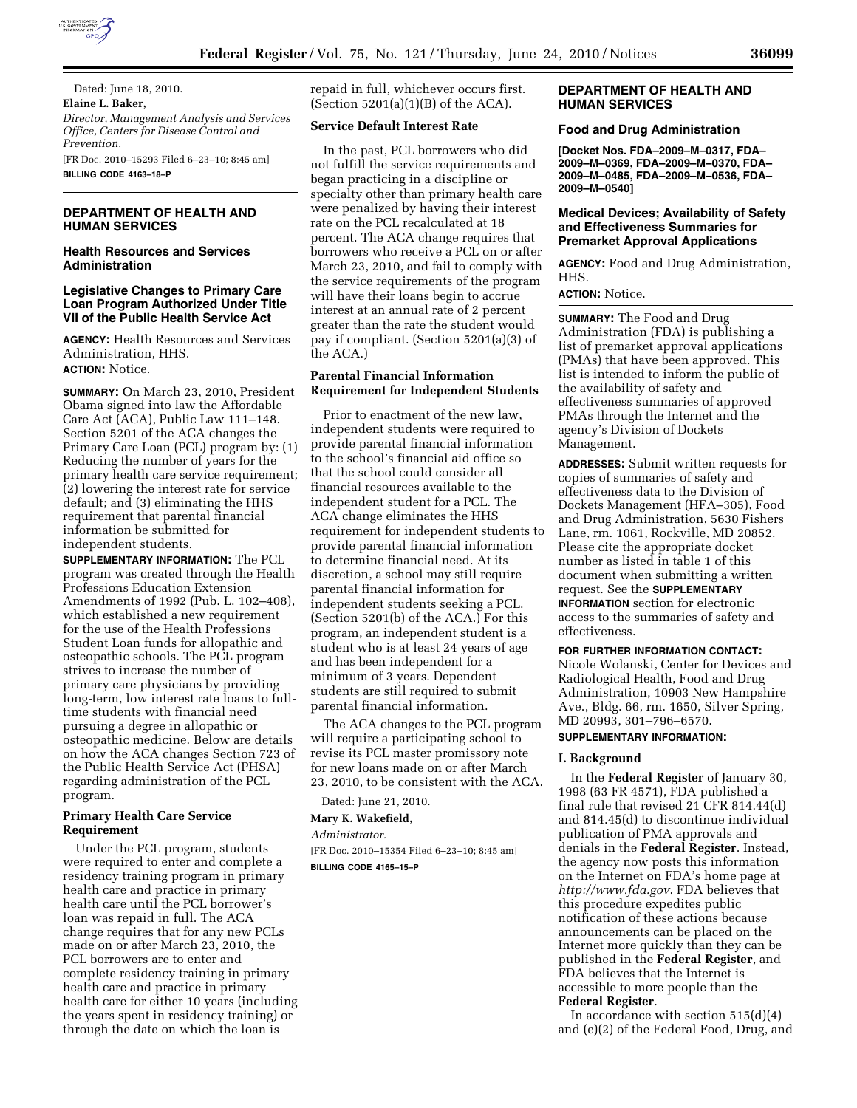

Dated: June 18, 2010. **Elaine L. Baker,**  *Director, Management Analysis and Services Office, Centers for Disease Control and Prevention.*  [FR Doc. 2010–15293 Filed 6–23–10; 8:45 am]

**BILLING CODE 4163–18–P** 

# **DEPARTMENT OF HEALTH AND HUMAN SERVICES**

### **Health Resources and Services Administration**

#### **Legislative Changes to Primary Care Loan Program Authorized Under Title VII of the Public Health Service Act**

**AGENCY:** Health Resources and Services Administration, HHS. **ACTION:** Notice.

**SUMMARY:** On March 23, 2010, President Obama signed into law the Affordable Care Act (ACA), Public Law 111–148. Section 5201 of the ACA changes the Primary Care Loan (PCL) program by: (1) Reducing the number of years for the primary health care service requirement; (2) lowering the interest rate for service default; and (3) eliminating the HHS requirement that parental financial information be submitted for independent students.

**SUPPLEMENTARY INFORMATION:** The PCL program was created through the Health Professions Education Extension Amendments of 1992 (Pub. L. 102–408), which established a new requirement for the use of the Health Professions Student Loan funds for allopathic and osteopathic schools. The PCL program strives to increase the number of primary care physicians by providing long-term, low interest rate loans to fulltime students with financial need pursuing a degree in allopathic or osteopathic medicine. Below are details on how the ACA changes Section 723 of the Public Health Service Act (PHSA) regarding administration of the PCL program.

### **Primary Health Care Service Requirement**

Under the PCL program, students were required to enter and complete a residency training program in primary health care and practice in primary health care until the PCL borrower's loan was repaid in full. The ACA change requires that for any new PCLs made on or after March 23, 2010, the PCL borrowers are to enter and complete residency training in primary health care and practice in primary health care for either 10 years (including the years spent in residency training) or through the date on which the loan is

repaid in full, whichever occurs first. (Section  $5201(a)(1)(B)$  of the ACA).

#### **Service Default Interest Rate**

In the past, PCL borrowers who did not fulfill the service requirements and began practicing in a discipline or specialty other than primary health care were penalized by having their interest rate on the PCL recalculated at 18 percent. The ACA change requires that borrowers who receive a PCL on or after March 23, 2010, and fail to comply with the service requirements of the program will have their loans begin to accrue interest at an annual rate of 2 percent greater than the rate the student would pay if compliant. (Section 5201(a)(3) of the ACA.)

#### **Parental Financial Information Requirement for Independent Students**

Prior to enactment of the new law, independent students were required to provide parental financial information to the school's financial aid office so that the school could consider all financial resources available to the independent student for a PCL. The ACA change eliminates the HHS requirement for independent students to provide parental financial information to determine financial need. At its discretion, a school may still require parental financial information for independent students seeking a PCL. (Section 5201(b) of the ACA.) For this program, an independent student is a student who is at least 24 years of age and has been independent for a minimum of 3 years. Dependent students are still required to submit parental financial information.

The ACA changes to the PCL program will require a participating school to revise its PCL master promissory note for new loans made on or after March 23, 2010, to be consistent with the ACA.

Dated: June 21, 2010.

#### **Mary K. Wakefield,**

*Administrator.*  [FR Doc. 2010–15354 Filed 6–23–10; 8:45 am]

**BILLING CODE 4165–15–P** 

#### **DEPARTMENT OF HEALTH AND HUMAN SERVICES**

# **Food and Drug Administration**

**[Docket Nos. FDA–2009–M–0317, FDA– 2009–M–0369, FDA–2009–M–0370, FDA– 2009–M–0485, FDA–2009–M–0536, FDA– 2009–M–0540]** 

#### **Medical Devices; Availability of Safety and Effectiveness Summaries for Premarket Approval Applications**

**AGENCY:** Food and Drug Administration, HHS.

#### **ACTION:** Notice.

**SUMMARY:** The Food and Drug Administration (FDA) is publishing a list of premarket approval applications (PMAs) that have been approved. This list is intended to inform the public of the availability of safety and effectiveness summaries of approved PMAs through the Internet and the agency's Division of Dockets Management.

**ADDRESSES:** Submit written requests for copies of summaries of safety and effectiveness data to the Division of Dockets Management (HFA–305), Food and Drug Administration, 5630 Fishers Lane, rm. 1061, Rockville, MD 20852. Please cite the appropriate docket number as listed in table 1 of this document when submitting a written request. See the **SUPPLEMENTARY INFORMATION** section for electronic access to the summaries of safety and effectiveness.

# **FOR FURTHER INFORMATION CONTACT:**

Nicole Wolanski, Center for Devices and Radiological Health, Food and Drug Administration, 10903 New Hampshire Ave., Bldg. 66, rm. 1650, Silver Spring, MD 20993, 301–796–6570.

#### **SUPPLEMENTARY INFORMATION:**

# **I. Background**

In the **Federal Register** of January 30, 1998 (63 FR 4571), FDA published a final rule that revised 21 CFR 814.44(d) and 814.45(d) to discontinue individual publication of PMA approvals and denials in the **Federal Register**. Instead, the agency now posts this information on the Internet on FDA's home page at *http://www.fda.gov*. FDA believes that this procedure expedites public notification of these actions because announcements can be placed on the Internet more quickly than they can be published in the **Federal Register**, and FDA believes that the Internet is accessible to more people than the **Federal Register**.

In accordance with section  $515(d)(4)$ and (e)(2) of the Federal Food, Drug, and